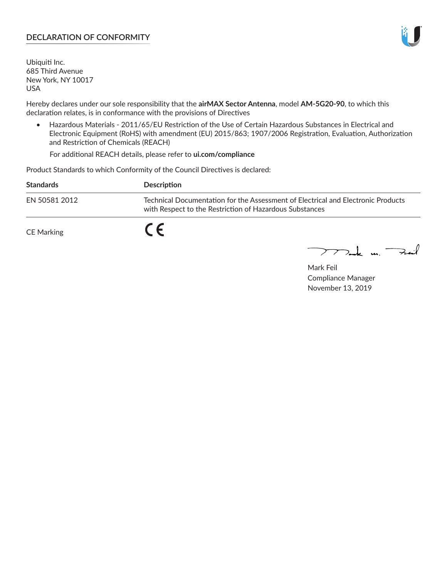## **DECLARATION OF CONFORMITY**

Ubiquiti Inc. 685 Third Avenue New York, NY 10017 USA

Hereby declares under our sole responsibility that the **airMAX Sector Antenna**, model **AM-5G20-90**, to which this declaration relates, is in conformance with the provisions of Directives

• Hazardous Materials - 2011/65/EU Restriction of the Use of Certain Hazardous Substances in Electrical and Electronic Equipment (RoHS) with amendment (EU) 2015/863; 1907/2006 Registration, Evaluation, Authorization and Restriction of Chemicals (REACH)

For additional REACH details, please refer to **ui.com/compliance**

Product Standards to which Conformity of the Council Directives is declared:

| <b>Standards</b> | Description                                                                                                                                 |
|------------------|---------------------------------------------------------------------------------------------------------------------------------------------|
| EN 50581 2012    | Technical Documentation for the Assessment of Electrical and Electronic Products<br>with Respect to the Restriction of Hazardous Substances |
| CE Marking       |                                                                                                                                             |

 $\sum_{n=1}^{\infty}$  un  $\sum_{n=1}^{\infty}$ 

Mark Feil Compliance Manager November 13, 2019

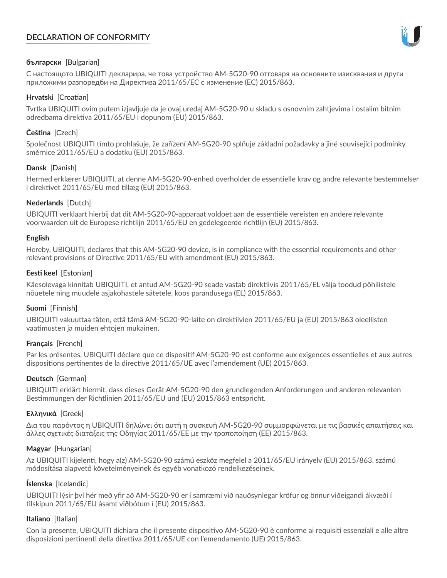# **DECLARATION OF CONFORMITY**



## **български** [Bulgarian]

С настоящото UBIQUITI декларира, че това устройство AM-5G20-90 отговаря на основните изисквания и други приложими разпоредби на Директива 2011/65/ЕС с изменение (ЕС) 2015/863.

## **Hrvatski** [Croatian]

Tvrtka UBIQUITI ovim putem izjavljuje da je ovaj uređaj AM-5G20-90 u skladu s osnovnim zahtjevima i ostalim bitnim odredbama direktiva 2011/65/EU i dopunom (EU) 2015/863.

# **Čeština** [Czech]

Společnost UBIQUITI tímto prohlašuje, že zařízení AM-5G20-90 splňuje základní požadavky a jiné související podmínky směrnice 2011/65/EU a dodatku (EU) 2015/863.

### **Dansk** [Danish]

Hermed erklærer UBIQUITI, at denne AM-5G20-90-enhed overholder de essentielle krav og andre relevante bestemmelser i direktivet 2011/65/EU med tillæg (EU) 2015/863.

### **Nederlands** [Dutch]

UBIQUITI verklaart hierbij dat dit AM-5G20-90-apparaat voldoet aan de essentiële vereisten en andere relevante voorwaarden uit de Europese richtlijn 2011/65/EU en gedelegeerde richtlijn (EU) 2015/863.

#### **English**

Hereby, UBIQUITI, declares that this AM-5G20-90 device, is in compliance with the essential requirements and other relevant provisions of Directive 2011/65/EU with amendment (EU) 2015/863.

### **Eesti keel** [Estonian]

Käesolevaga kinnitab UBIQUITI, et antud AM-5G20-90 seade vastab direktiivis 2011/65/EL välja toodud põhilistele nõuetele ning muudele asjakohastele sätetele, koos parandusega (EL) 2015/863.

## **Suomi** [Finnish]

UBIQUITI vakuuttaa täten, että tämä AM-5G20-90-laite on direktiivien 2011/65/EU ja (EU) 2015/863 oleellisten vaatimusten ja muiden ehtojen mukainen.

#### **Français** [French]

Par les présentes, UBIQUITI déclare que ce dispositif AM-5G20-90 est conforme aux exigences essentielles et aux autres dispositions pertinentes de la directive 2011/65/UE avec l'amendement (UE) 2015/863.

## **Deutsch** [German]

UBIQUITI erklärt hiermit, dass dieses Gerät AM-5G20-90 den grundlegenden Anforderungen und anderen relevanten Bestimmungen der Richtlinien 2011/65/EU und (EU) 2015/863 entspricht.

#### **Ελληνικά** [Greek]

Δια του παρόντος η UBIQUITI δηλώνει ότι αυτή η συσκευή AM-5G20-90 συμμορφώνεται με τις βασικές απαιτήσεις και άλλες σχετικές διατάξεις της Οδηγίας 2011/65/ΕΕ με την τροποποίηση (ΕΕ) 2015/863.

#### **Magyar** [Hungarian]

Az UBIQUITI kijelenti, hogy a(z) AM-5G20-90 számú eszköz megfelel a 2011/65/EU irányelv (EU) 2015/863. számú módosítása alapvető követelményeinek és egyéb vonatkozó rendelkezéseinek.

#### **Íslenska** [Icelandic]

UBIQUITI lýsir því hér með yfir að AM-5G20-90 er í samræmi við nauðsynlegar kröfur og önnur viðeigandi ákvæði í tilskipun 2011/65/EU ásamt viðbótum í (EU) 2015/863.

#### **Italiano** [Italian]

Con la presente, UBIQUITI dichiara che il presente dispositivo AM-5G20-90 è conforme ai requisiti essenziali e alle altre disposizioni pertinenti della direttiva 2011/65/UE con l'emendamento (UE) 2015/863.